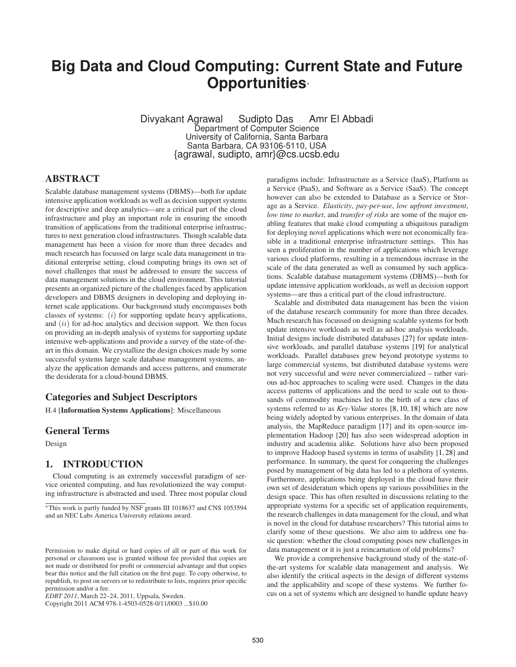# **Big Data and Cloud Computing: Current State and Future Opportunities**<sup>∗</sup>

Divyakant Agrawal Sudipto Das Amr El Abbadi Department of Computer Science University of California, Santa Barbara Santa Barbara, CA 93106-5110, USA {agrawal, sudipto, amr}@cs.ucsb.edu

# **ABSTRACT**

Scalable database management systems (DBMS)—both for update intensive application workloads as well as decision support systems for descriptive and deep analytics—are a critical part of the cloud infrastructure and play an important role in ensuring the smooth transition of applications from the traditional enterprise infrastructures to next generation cloud infrastructures. Though scalable data management has been a vision for more than three decades and much research has focussed on large scale data management in traditional enterprise setting, cloud computing brings its own set of novel challenges that must be addressed to ensure the success of data management solutions in the cloud environment. This tutorial presents an organized picture of the challenges faced by application developers and DBMS designers in developing and deploying internet scale applications. Our background study encompasses both classes of systems:  $(i)$  for supporting update heavy applications, and  $(ii)$  for ad-hoc analytics and decision support. We then focus on providing an in-depth analysis of systems for supporting update intensive web-applications and provide a survey of the state-of-theart in this domain. We crystallize the design choices made by some successful systems large scale database management systems, analyze the application demands and access patterns, and enumerate the desiderata for a cloud-bound DBMS.

#### **Categories and Subject Descriptors**

H.4 [**Information Systems Applications**]: Miscellaneous

### **General Terms**

Design

#### **1. INTRODUCTION**

Cloud computing is an extremely successful paradigm of service oriented computing, and has revolutionized the way computing infrastructure is abstracted and used. Three most popular cloud

Copyright 2011 ACM 978-1-4503-0528-0/11/0003 ...\$10.00

paradigms include: Infrastructure as a Service (IaaS), Platform as a Service (PaaS), and Software as a Service (SaaS). The concept however can also be extended to Database as a Service or Storage as a Service. *Elasticity*, *pay-per-use*, *low upfront investment*, *low time to market*, and *transfer of risks* are some of the major enabling features that make cloud computing a ubiquitous paradigm for deploying novel applications which were not economically feasible in a traditional enterprise infrastructure settings. This has seen a proliferation in the number of applications which leverage various cloud platforms, resulting in a tremendous increase in the scale of the data generated as well as consumed by such applications. Scalable database management systems (DBMS)—both for update intensive application workloads, as well as decision support systems—are thus a critical part of the cloud infrastructure.

Scalable and distributed data management has been the vision of the database research community for more than three decades. Much research has focussed on designing scalable systems for both update intensive workloads as well as ad-hoc analysis workloads. Initial designs include distributed databases [\[27\]](#page-3-0) for update intensive workloads, and parallel database systems [\[19\]](#page-3-1) for analytical workloads. Parallel databases grew beyond prototype systems to large commercial systems, but distributed database systems were not very successful and were never commercialized – rather various ad-hoc approaches to scaling were used. Changes in the data access patterns of applications and the need to scale out to thousands of commodity machines led to the birth of a new class of systems referred to as *Key-Value* stores [\[8,](#page-3-2) [10,](#page-3-3) [18\]](#page-3-4) which are now being widely adopted by various enterprises. In the domain of data analysis, the MapReduce paradigm [\[17\]](#page-3-5) and its open-source implementation Hadoop [\[20\]](#page-3-6) has also seen widespread adoption in industry and academia alike. Solutions have also been proposed to improve Hadoop based systems in terms of usability [\[1,](#page-3-7) [28\]](#page-3-8) and performance. In summary, the quest for conquering the challenges posed by management of big data has led to a plethora of systems. Furthermore, applications being deployed in the cloud have their own set of desideratum which opens up various possibilities in the design space. This has often resulted in discussions relating to the appropriate systems for a specific set of application requirements, the research challenges in data management for the cloud, and what is novel in the cloud for database researchers? This tutorial aims to clarify some of these questions. We also aim to address one basic question: whether the cloud computing poses new challenges in data management or it is just a reincarnation of old problems?

We provide a comprehensive background study of the state-ofthe-art systems for scalable data management and analysis. We also identify the critical aspects in the design of different systems and the applicability and scope of these systems. We further focus on a set of systems which are designed to handle update heavy

<sup>∗</sup>This work is partly funded by NSF grants III 1018637 and CNS 1053594 and an NEC Labs America University relations award.

Permission to make digital or hard copies of all or part of this work for personal or classroom use is granted without fee provided that copies are not made or distributed for profit or commercial advantage and that copies bear this notice and the full citation on the first page. To copy otherwise, to republish, to post on servers or to redistribute to lists, requires prior specific permission and/or a fee.

*EDBT 2011*, March 22–24, 2011, Uppsala, Sweden.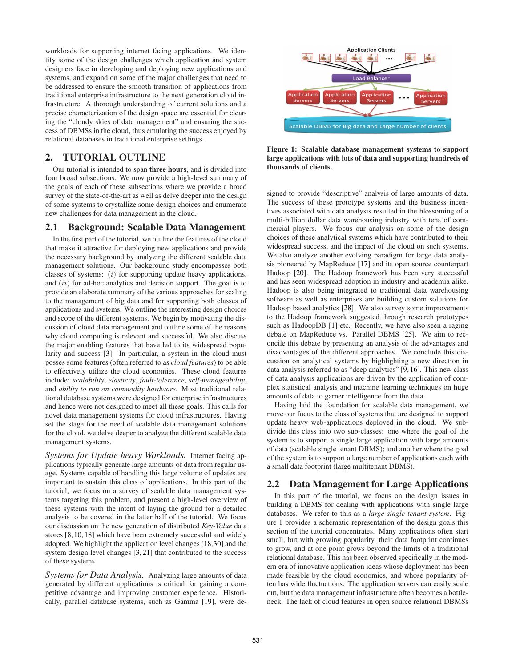workloads for supporting internet facing applications. We identify some of the design challenges which application and system designers face in developing and deploying new applications and systems, and expand on some of the major challenges that need to be addressed to ensure the smooth transition of applications from traditional enterprise infrastructure to the next generation cloud infrastructure. A thorough understanding of current solutions and a precise characterization of the design space are essential for clearing the "cloudy skies of data management" and ensuring the success of DBMSs in the cloud, thus emulating the success enjoyed by relational databases in traditional enterprise settings.

# **2. TUTORIAL OUTLINE**

Our tutorial is intended to span **three hours**, and is divided into four broad subsections. We now provide a high-level summary of the goals of each of these subsections where we provide a broad survey of the state-of-the-art as well as delve deeper into the design of some systems to crystallize some design choices and enumerate new challenges for data management in the cloud.

#### **2.1 Background: Scalable Data Management**

In the first part of the tutorial, we outline the features of the cloud that make it attractive for deploying new applications and provide the necessary background by analyzing the different scalable data management solutions. Our background study encompasses both classes of systems:  $(i)$  for supporting update heavy applications, and  $(ii)$  for ad-hoc analytics and decision support. The goal is to provide an elaborate summary of the various approaches for scaling to the management of big data and for supporting both classes of applications and systems. We outline the interesting design choices and scope of the different systems. We begin by motivating the discussion of cloud data management and outline some of the reasons why cloud computing is relevant and successful. We also discuss the major enabling features that have led to its widespread popularity and success [\[3\]](#page-3-9). In particular, a system in the cloud must posses some features (often referred to as *cloud features*) to be able to effectively utilize the cloud economies. These cloud features include: *scalability*, *elasticity*, *fault-tolerance*, *self-manageability*, and *ability to run on commodity hardware*. Most traditional relational database systems were designed for enterprise infrastructures and hence were not designed to meet all these goals. This calls for novel data management systems for cloud infrastructures. Having set the stage for the need of scalable data management solutions for the cloud, we delve deeper to analyze the different scalable data management systems.

*Systems for Update heavy Workloads.* Internet facing applications typically generate large amounts of data from regular usage. Systems capable of handling this large volume of updates are important to sustain this class of applications. In this part of the tutorial, we focus on a survey of scalable data management systems targeting this problem, and present a high-level overview of these systems with the intent of laying the ground for a detailed analysis to be covered in the latter half of the tutorial. We focus our discussion on the new generation of distributed *Key-Value* data stores [\[8,](#page-3-2)[10,](#page-3-3)[18\]](#page-3-4) which have been extremely successful and widely adopted. We highlight the application level changes [\[18,](#page-3-4)[30\]](#page-3-10) and the system design level changes [\[3,](#page-3-9) [21\]](#page-3-11) that contributed to the success of these systems.

*Systems for Data Analysis.* Analyzing large amounts of data generated by different applications is critical for gaining a competitive advantage and improving customer experience. Historically, parallel database systems, such as Gamma [\[19\]](#page-3-1), were de-



<span id="page-1-0"></span>**Figure 1: Scalable database management systems to support large applications with lots of data and supporting hundreds of thousands of clients.**

signed to provide "descriptive" analysis of large amounts of data. The success of these prototype systems and the business incentives associated with data analysis resulted in the blossoming of a multi-billion dollar data warehousing industry with tens of commercial players. We focus our analysis on some of the design choices of these analytical systems which have contributed to their widespread success, and the impact of the cloud on such systems. We also analyze another evolving paradigm for large data analysis pioneered by MapReduce [\[17\]](#page-3-5) and its open source counterpart Hadoop [\[20\]](#page-3-6). The Hadoop framework has been very successful and has seen widespread adoption in industry and academia alike. Hadoop is also being integrated to traditional data warehousing software as well as enterprises are building custom solutions for Hadoop based analytics [\[28\]](#page-3-8). We also survey some improvements to the Hadoop framework suggested through research prototypes such as HadoopDB [\[1\]](#page-3-7) etc. Recently, we have also seen a raging debate on MapReduce vs. Parallel DBMS [\[25\]](#page-3-12). We aim to reconcile this debate by presenting an analysis of the advantages and disadvantages of the different approaches. We conclude this discussion on analytical systems by highlighting a new direction in data analysis referred to as "deep analytics" [\[9,](#page-3-13)[16\]](#page-3-14). This new class of data analysis applications are driven by the application of complex statistical analysis and machine learning techniques on huge amounts of data to garner intelligence from the data.

Having laid the foundation for scalable data management, we move our focus to the class of systems that are designed to support update heavy web-applications deployed in the cloud. We subdivide this class into two sub-classes: one where the goal of the system is to support a single large application with large amounts of data (scalable single tenant DBMS); and another where the goal of the system is to support a large number of applications each with a small data footprint (large multitenant DBMS).

#### **2.2 Data Management for Large Applications**

In this part of the tutorial, we focus on the design issues in building a DBMS for dealing with applications with single large databases. We refer to this as a *large single tenant system*. Figure [1](#page-1-0) provides a schematic representation of the design goals this section of the tutorial concentrates. Many applications often start small, but with growing popularity, their data footprint continues to grow, and at one point grows beyond the limits of a traditional relational database. This has been observed specifically in the modern era of innovative application ideas whose deployment has been made feasible by the cloud economics, and whose popularity often has wide fluctuations. The application servers can easily scale out, but the data management infrastructure often becomes a bottleneck. The lack of cloud features in open source relational DBMSs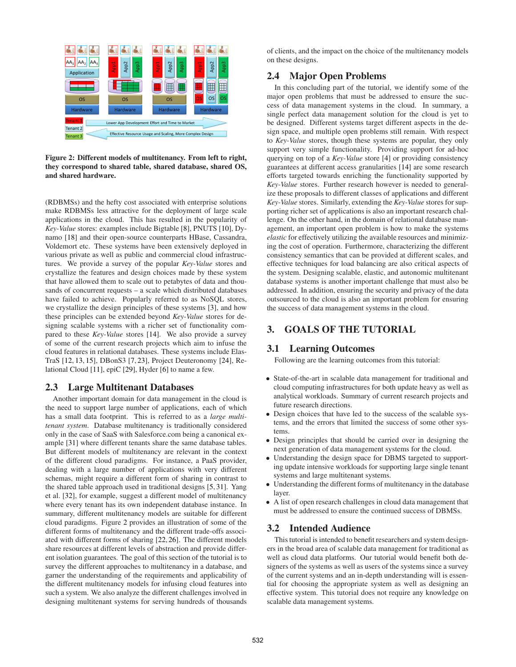

<span id="page-2-0"></span>**Figure 2: Different models of multitenancy. From left to right, they correspond to shared table, shared database, shared OS, and shared hardware.**

(RDBMSs) and the hefty cost associated with enterprise solutions make RDBMSs less attractive for the deployment of large scale applications in the cloud. This has resulted in the popularity of *Key-Value* stores: examples include Bigtable [\[8\]](#page-3-2), PNUTS [\[10\]](#page-3-3), Dynamo [\[18\]](#page-3-4) and their open-source counterparts HBase, Cassandra, Voldemort etc. These systems have been extensively deployed in various private as well as public and commercial cloud infrastructures. We provide a survey of the popular *Key-Value* stores and crystallize the features and design choices made by these system that have allowed them to scale out to petabytes of data and thousands of concurrent requests – a scale which distributed databases have failed to achieve. Popularly referred to as NoSQL stores, we crystallize the design principles of these systems [\[3\]](#page-3-9), and how these principles can be extended beyond *Key-Value* stores for designing scalable systems with a richer set of functionality compared to these *Key-Value* stores [\[14\]](#page-3-15). We also provide a survey of some of the current research projects which aim to infuse the cloud features in relational databases. These systems include Elas-TraS [\[12,](#page-3-16) [13,](#page-3-17) [15\]](#page-3-18), DBonS3 [\[7,](#page-3-19) [23\]](#page-3-20), Project Deuteronomy [\[24\]](#page-3-21), Relational Cloud [\[11\]](#page-3-22), epiC [\[29\]](#page-3-23), Hyder [\[6\]](#page-3-24) to name a few.

#### **2.3 Large Multitenant Databases**

Another important domain for data management in the cloud is the need to support large number of applications, each of which has a small data footprint. This is referred to as a *large multitenant system*. Database multitenancy is traditionally considered only in the case of SaaS with Salesforce.com being a canonical example [\[31\]](#page-3-25) where different tenants share the same database tables. But different models of multitenancy are relevant in the context of the different cloud paradigms. For instance, a PaaS provider, dealing with a large number of applications with very different schemas, might require a different form of sharing in contrast to the shared table approach used in traditional designs [\[5,](#page-3-26) [31\]](#page-3-25). Yang et al. [\[32\]](#page-3-27), for example, suggest a different model of multitenancy where every tenant has its own independent database instance. In summary, different multitenancy models are suitable for different cloud paradigms. Figure [2](#page-2-0) provides an illustration of some of the different forms of multitenancy and the different trade-offs associated with different forms of sharing [\[22,](#page-3-28) [26\]](#page-3-29). The different models share resources at different levels of abstraction and provide different isolation guarantees. The goal of this section of the tutorial is to survey the different approaches to multitenancy in a database, and garner the understanding of the requirements and applicability of the different multitenancy models for infusing cloud features into such a system. We also analyze the different challenges involved in designing multitenant systems for serving hundreds of thousands of clients, and the impact on the choice of the multitenancy models on these designs.

#### **2.4 Major Open Problems**

In this concluding part of the tutorial, we identify some of the major open problems that must be addressed to ensure the success of data management systems in the cloud. In summary, a single perfect data management solution for the cloud is yet to be designed. Different systems target different aspects in the design space, and multiple open problems still remain. With respect to *Key-Value* stores, though these systems are popular, they only support very simple functionality. Providing support for ad-hoc querying on top of a *Key-Value* store [\[4\]](#page-3-30) or providing consistency guarantees at different access granularities [\[14\]](#page-3-15) are some research efforts targeted towards enriching the functionality supported by *Key-Value* stores. Further research however is needed to generalize these proposals to different classes of applications and different *Key-Value* stores. Similarly, extending the *Key-Value* stores for supporting richer set of applications is also an important research challenge. On the other hand, in the domain of relational database management, an important open problem is how to make the systems *elastic* for effectively utilizing the available resources and minimizing the cost of operation. Furthermore, characterizing the different consistency semantics that can be provided at different scales, and effective techniques for load balancing are also critical aspects of the system. Designing scalable, elastic, and autonomic multitenant database systems is another important challenge that must also be addressed. In addition, ensuring the security and privacy of the data outsourced to the cloud is also an important problem for ensuring the success of data management systems in the cloud.

# **3. GOALS OF THE TUTORIAL**

#### **3.1 Learning Outcomes**

Following are the learning outcomes from this tutorial:

- State-of-the-art in scalable data management for traditional and cloud computing infrastructures for both update heavy as well as analytical workloads. Summary of current research projects and future research directions.
- Design choices that have led to the success of the scalable systems, and the errors that limited the success of some other systems.
- Design principles that should be carried over in designing the next generation of data management systems for the cloud.
- Understanding the design space for DBMS targeted to supporting update intensive workloads for supporting large single tenant systems and large multitenant systems.
- Understanding the different forms of multitenancy in the database layer.
- A list of open research challenges in cloud data management that must be addressed to ensure the continued success of DBMSs.

## **3.2 Intended Audience**

This tutorial is intended to benefit researchers and system designers in the broad area of scalable data management for traditional as well as cloud data platforms. Our tutorial would benefit both designers of the systems as well as users of the systems since a survey of the current systems and an in-depth understanding will is essential for choosing the appropriate system as well as designing an effective system. This tutorial does not require any knowledge on scalable data management systems.